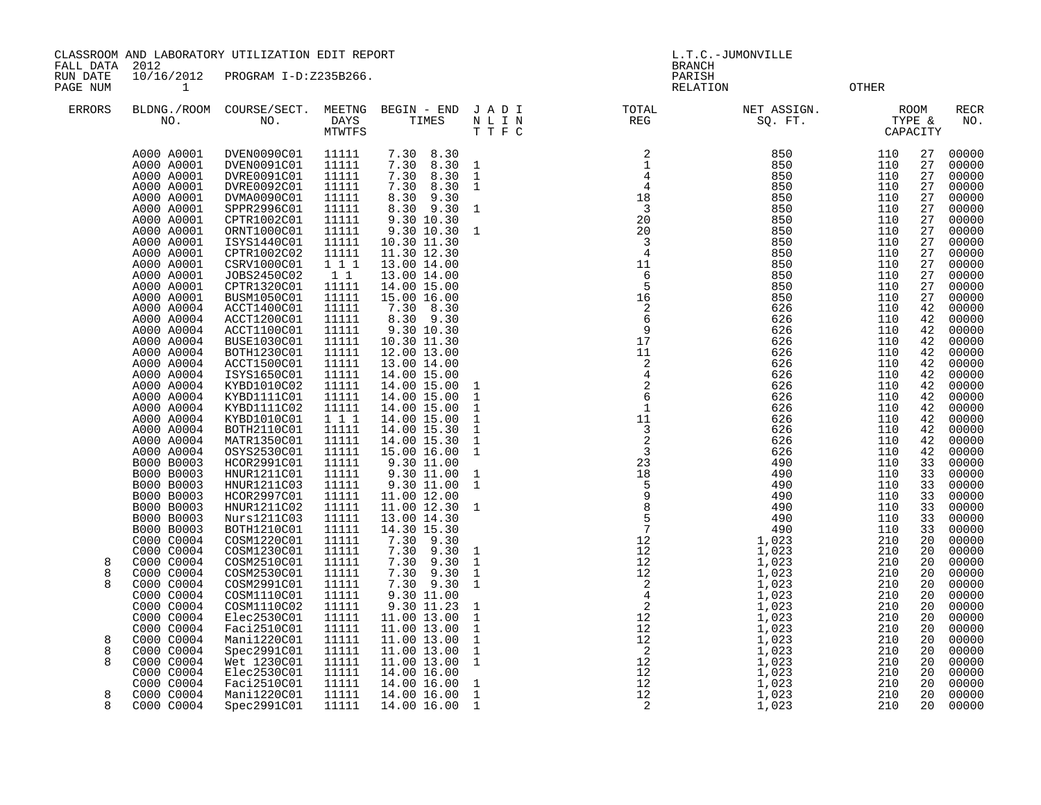CLASSROOM AND LABORATORY UTILIZATION EDIT REPORT STATES AND REPORT THE L.T.C.-JUMONVILLE

FALL DATA 2012 BRANCH

RUN DATE  $10/16/2012$  PROGRAM I-D:Z235B266.<br>PAGE NUM 1 PAGE NUM 1 RELATION OTHER

| <b>ERRORS</b> | BLDNG./ROOM<br>NO.       | COURSE/SECT.<br>NO.        | MEETNG<br>DAYS<br><b>MTWTFS</b> | BEGIN - END<br>TIMES      | JADI<br>NLIN<br>T T F C      | TOTAL<br>REG                                                   | NET ASSIGN.<br>SQ. FT. | TYPE &     | ROOM<br>CAPACITY | <b>RECR</b><br>NO. |
|---------------|--------------------------|----------------------------|---------------------------------|---------------------------|------------------------------|----------------------------------------------------------------|------------------------|------------|------------------|--------------------|
|               | A000 A0001               | DVEN0090C01                | 11111                           | 7.30 8.30                 |                              | $\begin{array}{c} 2 \\ 1 \\ 4 \\ 4 \\ 18 \\ 30 \\ \end{array}$ | 850                    | 110        | 27               | 00000              |
|               | A000 A0001               | DVEN0091C01                | 11111                           | 7.30<br>8.30              | $\mathbf{1}$                 |                                                                | 850                    | 110        | 27               | 00000              |
|               | A000 A0001               | DVRE0091C01                | 11111                           | 7.30<br>8.30              | $\mathbf{1}$                 |                                                                | 850                    | 110        | 27               | 00000              |
|               | A000 A0001               | DVRE0092C01                | 11111                           | 7.30<br>8.30              | 1                            |                                                                | 850                    | 110        | 27               | 00000              |
|               | A000 A0001               | DVMA0090C01                | 11111                           | 9.30<br>8.30              |                              |                                                                | 850                    | 110        | 27               | 00000              |
|               | A000 A0001               | SPPR2996C01                | 11111                           | 8.30 9.30                 | $\mathbf{1}$                 |                                                                | 850                    | 110        | 27               | 00000              |
|               | A000 A0001               | CPTR1002C01                | 11111                           | 9.30 10.30                |                              | 20                                                             | 850                    | 110        | 27               | 00000              |
|               | A000 A0001               | ORNT1000C01                | 11111                           | 9.30 10.30                | $\mathbf{1}$                 | 20                                                             | 850                    | 110        | 27               | 00000              |
|               | A000 A0001               | ISYS1440C01                | 11111                           | 10.30 11.30               |                              | $\overline{3}$                                                 | 850                    | 110        | 27               | 00000              |
|               | A000 A0001               | CPTR1002C02                | 11111                           | 11.30 12.30               |                              | $\overline{4}$                                                 | 850                    | 110        | 27               | 00000              |
|               | A000 A0001               | CSRV1000C01                | 1 1 1                           | 13.00 14.00               |                              | 11                                                             | 850                    | 110        | 27               | 00000              |
|               | A000 A0001               | JOBS2450C02                | 1 1                             | 13.00 14.00               |                              | 6                                                              | 850                    | 110        | 27               | 00000              |
|               | A000 A0001               | CPTR1320C01                | 11111                           | 14.00 15.00               |                              | 5                                                              | 850                    | 110        | 27               | 00000              |
|               | A000 A0001               | BUSM1050C01                | 11111                           | 15.00 16.00               |                              | 16                                                             | 850                    | 110        | 27               | 00000              |
|               | A000 A0004               | ACCT1400C01                | 11111                           | 7.30 8.30                 |                              | $\overline{c}$                                                 | 626                    | 110        | 42               | 00000              |
|               | A000 A0004               | ACCT1200C01                | 11111                           | 8.30 9.30                 |                              | 6                                                              | 626                    | 110        | 42               | 00000              |
|               | A000 A0004               | ACCT1100C01                | 11111                           | 9.30 10.30                |                              | $\overline{9}$                                                 | 626                    | 110        | 42               | 00000              |
|               | A000 A0004               | BUSE1030C01                | 11111                           | 10.30 11.30               |                              | $\frac{9}{17}$                                                 | 626                    | 110        | 42               | 00000              |
|               | A000 A0004               | BOTH1230C01                | 11111                           | 12.00 13.00               |                              | 11                                                             | 626                    | 110        | 42               | 00000              |
|               | A000 A0004               | ACCT1500C01                | 11111                           | 13.00 14.00               |                              | $_4^2$                                                         | 626                    | 110        | 42               | 00000              |
|               | A000 A0004               | ISYS1650C01                | 11111                           | 14.00 15.00               |                              | $\begin{array}{c} 4 \\ 2 \\ 6 \\ 1 \end{array}$                | 626                    | 110        | 42               | 00000              |
|               | A000 A0004               | KYBD1010C02                | 11111                           | 14.00 15.00               | $\mathbf{1}$                 |                                                                | 626                    | 110        | 42               | 00000              |
|               | A000 A0004               | KYBD1111C01                | 11111                           | 14.00 15.00               | $\mathbf{1}$                 |                                                                | 626                    | 110        | 42               | 00000              |
|               | A000 A0004               | KYBD1111C02                | 11111                           | 14.00 15.00               | $\mathbf{1}$                 |                                                                | 626                    | 110        | 42               | 00000              |
|               | A000 A0004               | KYBD1010C01                | 1 1 1                           | 14.00 15.00               | $\mathbf{1}$                 | 11                                                             | 626                    | 110        | 42               | 00000              |
|               | A000 A0004               | BOTH2110C01                | 11111                           | 14.00 15.30               | $\mathbf{1}$                 | $\overline{3}$<br>$\overline{c}$                               | 626                    | 110        | 42               | 00000              |
|               | A000 A0004               | MATR1350C01                | 11111                           | 14.00 15.30               | $\mathbf{1}$                 |                                                                | 626                    | 110        | 42               | 00000              |
|               | A000 A0004<br>B000 B0003 | OSYS2530C01<br>HCOR2991C01 | 11111<br>11111                  | 15.00 16.00<br>9.30 11.00 | $\mathbf{1}$                 | $\overline{3}$<br>23                                           | 626<br>490             | 110<br>110 | 42<br>33         | 00000<br>00000     |
|               |                          |                            | 11111                           |                           |                              |                                                                |                        | 110        | 33               |                    |
|               | B000 B0003<br>B000 B0003 | HNUR1211C01<br>HNUR1211C03 | 11111                           | 9.30 11.00<br>9.30 11.00  | $\mathbf{1}$<br>$\mathbf{1}$ | 18                                                             | 490<br>490             | 110        | 33               | 00000<br>00000     |
|               | B000 B0003               | HCOR2997C01                | 11111                           | 11.00 12.00               |                              | $\begin{array}{c} 16 \\ 5 \\ 9 \\ 8 \end{array}$               | 490                    | 110        | 33               | 00000              |
|               | B000 B0003               | HNUR1211C02                | 11111                           | 11.00 12.30               | 1                            |                                                                | 490                    | 110        | 33               | 00000              |
|               | B000 B0003               | Nurs1211C03                | 11111                           | 13.00 14.30               |                              | $5^{\circ}$                                                    | 490                    | 110        | 33               | 00000              |
|               | B000 B0003               | BOTH1210C01                | 11111                           | 14.30 15.30               |                              |                                                                | 490                    | 110        | 33               | 00000              |
|               | C000 C0004               | COSM1220C01                | 11111                           | 7.30 9.30                 |                              |                                                                | 1,023                  | 210        | 20               | 00000              |
|               | C000 C0004               | COSM1230C01                | 11111                           | 7.30<br>9.30              | 1                            | $\begin{array}{c} 12 \\ 12 \end{array}$                        | 1,023                  | 210        | 20               | 00000              |
| 8             | C000 C0004               | COSM2510C01                | 11111                           | 7.30<br>9.30              | $\mathbf{1}$                 |                                                                | 1,023                  | 210        | 20               | 00000              |
| 8             | C000 C0004               | COSM2530C01                | 11111                           | 7.30<br>9.30              | $\mathbf{1}$                 |                                                                | 1,023                  | 210        | 20               | 00000              |
| $\mathsf{R}$  | C000 C0004               | COSM2991C01                | 11111                           | 7.30 9.30                 | $\mathbf{1}$                 |                                                                | 1,023                  | 210        | 20               | 00000              |
|               | C000 C0004               | COSM1110C01                | 11111                           | 9.30 11.00                |                              |                                                                | 1,023                  | 210        | 20               | 00000              |
|               | C000 C0004               | COSM1110C02                | 11111                           | 9.30 11.23                | 1                            |                                                                | 1,023                  | 210        | 20               | 00000              |
|               | C000 C0004               | Elec2530C01                | 11111                           | 11.00 13.00               | $\mathbf{1}$                 |                                                                | 1,023                  | 210        | 20               | 00000              |
|               | C000 C0004               | Faci2510C01                | 11111                           | 11.00 13.00               | $\mathbf{1}$                 |                                                                | 1,023                  | 210        | 20               | 00000              |
| 8             | C000 C0004               | Mani1220C01                | 11111                           | 11.00 13.00               | $\mathbf{1}$                 |                                                                | 1,023                  | 210        | 20               | 00000              |
| 8             | C000 C0004               | Spec2991C01                | 11111                           | 11.00 13.00               | $\mathbf{1}$                 |                                                                | 1,023                  | 210        | 20               | 00000              |
| 8             | C000 C0004               | Wet 1230C01                | 11111                           | 11.00 13.00               | $\mathbf{1}$                 |                                                                | 1,023                  | 210        | 20               | 00000              |
|               | C000 C0004               | Elec2530C01                | 11111                           | 14.00 16.00               |                              | 12                                                             | 1,023                  | 210        | 20               | 00000              |
|               | C000 C0004               | Faci2510C01                | 11111                           | 14.00 16.00               | 1                            | 12                                                             | 1,023                  | 210        | 20               | 00000              |
| 8             | C000 C0004               | Mani1220C01                | 11111                           | 14.00 16.00               | $\mathbf{1}$                 | 12                                                             | 1,023                  | 210        | 20               | 00000              |
| 8             | C000 C0004               | Spec2991C01                | 11111                           | 14.00 16.00 1             |                              | $\overline{\phantom{0}}^2$                                     | 1,023                  | 210        | 20               | 00000              |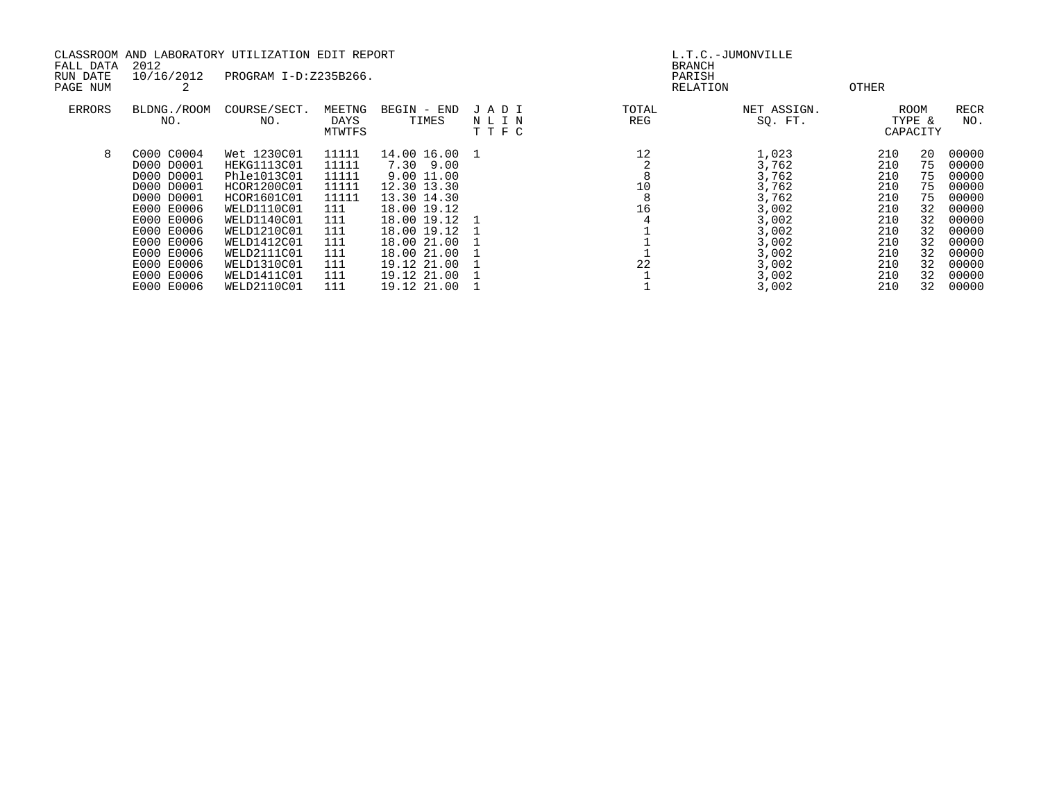| CLASSROOM AND LABORATORY UTILIZATION EDIT REPORT |                    |                       |        |               |      | L.T.C.-JUMONVILLE |                         |       |          |             |
|--------------------------------------------------|--------------------|-----------------------|--------|---------------|------|-------------------|-------------------------|-------|----------|-------------|
| FALL DATA<br>RUN DATE                            | 2012<br>10/16/2012 | PROGRAM I-D:Z235B266. |        |               |      |                   | <b>BRANCH</b><br>PARISH |       |          |             |
| PAGE NUM                                         |                    |                       |        |               |      |                   | RELATION                | OTHER |          |             |
| <b>ERRORS</b>                                    | BLDNG./ROOM        | COURSE/SECT.          | MEETNG | BEGIN - END   | JADI | TOTAL             | NET ASSIGN.             |       | ROOM     | <b>RECR</b> |
|                                                  | NO.                | NO.                   | DAYS   | TIMES         | NLIN | REG               | SQ. FT.                 |       | TYPE &   | NO.         |
|                                                  |                    |                       | MTWTFS |               | TTFC |                   |                         |       | CAPACITY |             |
| 8                                                | C000 C0004         | Wet 1230C01           | 11111  | 14.00 16.00 1 |      | 12                | 1,023                   | 210   | 20       | 00000       |
|                                                  | D000 D0001         | HEKG1113C01           | 11111  | 7.30 9.00     |      |                   | 3,762                   | 210   | 75       | 00000       |
|                                                  | D000 D0001         | Phle1013C01           | 11111  | 9.00 11.00    |      |                   | 3,762                   | 210   | 75       | 00000       |
|                                                  | D000 D0001         | HCOR1200C01           | 11111  | 12.30 13.30   |      | 10                | 3,762                   | 210   | 75       | 00000       |
|                                                  | D000 D0001         | HCOR1601C01           | 11111  | 13.30 14.30   |      | 8                 | 3,762                   | 210   | 75       | 00000       |
|                                                  | E000 E0006         | WELD1110C01           | 111    | 18.00 19.12   |      | 16                | 3,002                   | 210   | 32       | 00000       |
|                                                  | E000 E0006         | WELD1140C01           | 111    | 18.00 19.12   |      |                   | 3,002                   | 210   | 32       | 00000       |
|                                                  | E000 E0006         | WELD1210C01           | 111    | 18.00 19.12   |      |                   | 3,002                   | 210   | 32       | 00000       |
|                                                  | E000 E0006         | WELD1412C01           | 111    | 18.00 21.00   |      |                   | 3,002                   | 210   | 32       | 00000       |
|                                                  | E000 E0006         | WELD2111C01           | 111    | 18.00 21.00   |      |                   | 3,002                   | 210   | 32       | 00000       |
|                                                  | E000 E0006         | WELD1310C01           | 111    | 19.12 21.00   |      | 22                | 3,002                   | 210   | 32       | 00000       |
|                                                  | E000 E0006         | WELD1411C01           | 111    | 19.12 21.00   |      |                   | 3,002                   | 210   | 32       | 00000       |
|                                                  | E000 E0006         | WELD2110C01           | 111    | 19.12 21.00   |      |                   | 3,002                   | 210   | 32       | 00000       |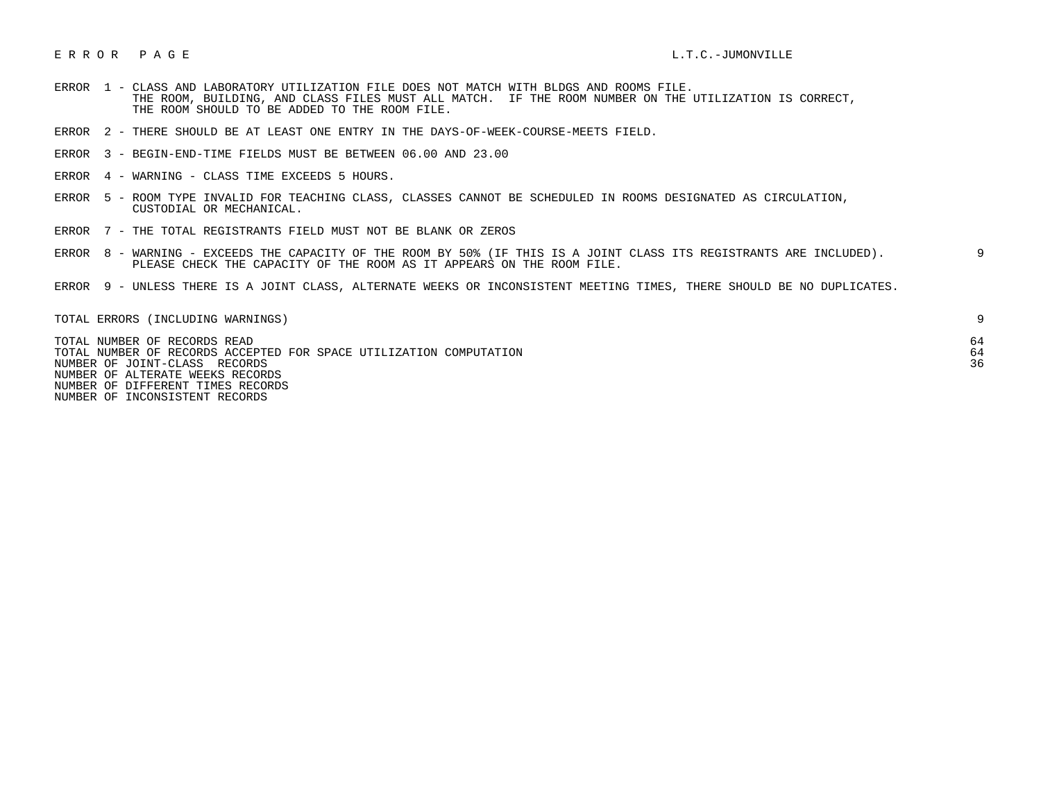## E R R O R P A G E L.T.C.-JUMONVILLE

- ERROR 1 CLASS AND LABORATORY UTILIZATION FILE DOES NOT MATCH WITH BLDGS AND ROOMS FILE. THE ROOM, BUILDING, AND CLASS FILES MUST ALL MATCH. IF THE ROOM NUMBER ON THE UTILIZATION IS CORRECT, THE ROOM SHOULD TO BE ADDED TO THE ROOM FILE.
- ERROR 2 THERE SHOULD BE AT LEAST ONE ENTRY IN THE DAYS-OF-WEEK-COURSE-MEETS FIELD.
- ERROR 3 BEGIN-END-TIME FIELDS MUST BE BETWEEN 06.00 AND 23.00
- ERROR 4 WARNING CLASS TIME EXCEEDS 5 HOURS.
- ERROR 5 ROOM TYPE INVALID FOR TEACHING CLASS, CLASSES CANNOT BE SCHEDULED IN ROOMS DESIGNATED AS CIRCULATION, CUSTODIAL OR MECHANICAL.
- ERROR 7 THE TOTAL REGISTRANTS FIELD MUST NOT BE BLANK OR ZEROS
- ERROR 8 WARNING EXCEEDS THE CAPACITY OF THE ROOM BY 50% (IF THIS IS A JOINT CLASS ITS REGISTRANTS ARE INCLUDED). 9 PLEASE CHECK THE CAPACITY OF THE ROOM AS IT APPEARS ON THE ROOM FILE.
- ERROR 9 UNLESS THERE IS A JOINT CLASS, ALTERNATE WEEKS OR INCONSISTENT MEETING TIMES, THERE SHOULD BE NO DUPLICATES.

| TOTAL ERRORS (INCLUDING WARNINGS)                                                                                                                                       |    |
|-------------------------------------------------------------------------------------------------------------------------------------------------------------------------|----|
| TOTAL NUMBER OF RECORDS READ<br>TOTAL NUMBER OF RECORDS ACCEPTED FOR SPACE UTILIZATION COMPUTATION<br>NUMBER OF JOINT-CLASS RECORDS<br>NUMBER OF ALTERATE WEEKS RECORDS | 36 |
| NUMBER OF DIFFERENT TIMES RECORDS                                                                                                                                       |    |

NUMBER OF INCONSISTENT RECORDS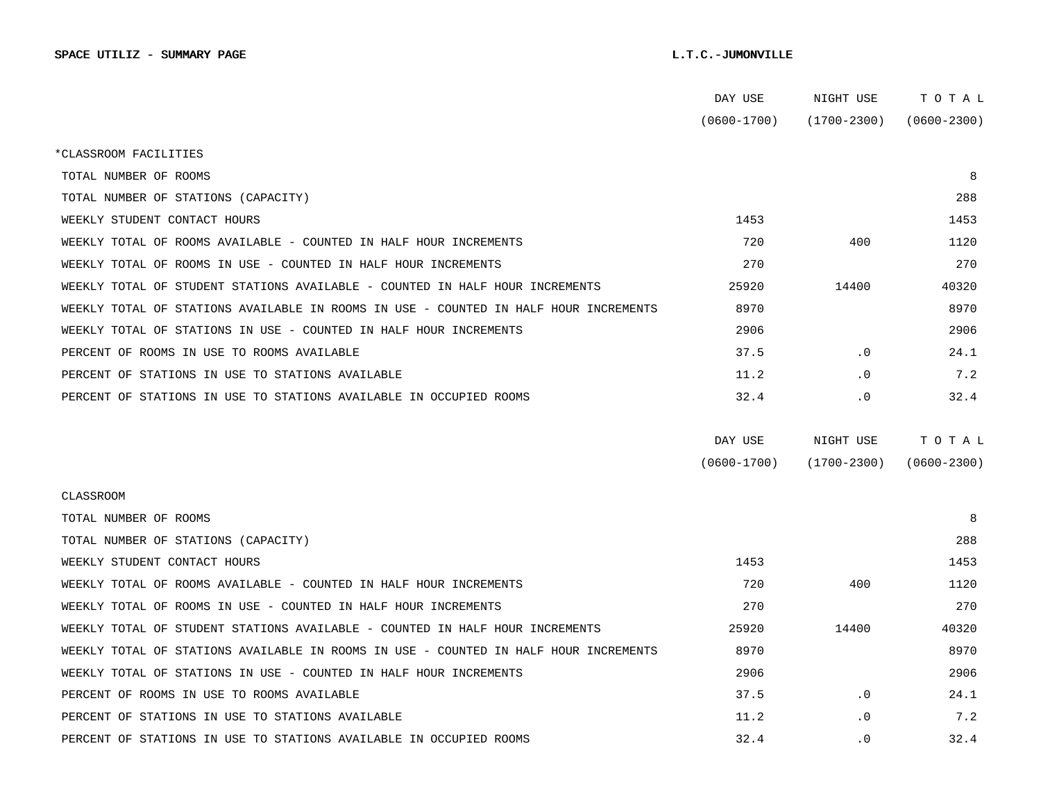|                                                                                      | DAY USE         | NIGHT USE       | тотаь           |  |
|--------------------------------------------------------------------------------------|-----------------|-----------------|-----------------|--|
|                                                                                      | $(0600 - 1700)$ | (1700-2300)     | $(0600 - 2300)$ |  |
| *CLASSROOM FACILITIES                                                                |                 |                 |                 |  |
| TOTAL NUMBER OF ROOMS                                                                |                 |                 | 8               |  |
| TOTAL NUMBER OF STATIONS (CAPACITY)                                                  |                 |                 | 288             |  |
| WEEKLY STUDENT CONTACT HOURS                                                         | 1453            |                 | 1453            |  |
| WEEKLY TOTAL OF ROOMS AVAILABLE - COUNTED IN HALF HOUR INCREMENTS                    | 720             | 400             | 1120            |  |
| WEEKLY TOTAL OF ROOMS IN USE - COUNTED IN HALF HOUR INCREMENTS                       | 270             |                 | 270             |  |
| WEEKLY TOTAL OF STUDENT STATIONS AVAILABLE - COUNTED IN HALF HOUR INCREMENTS         | 25920           | 14400           | 40320           |  |
| WEEKLY TOTAL OF STATIONS AVAILABLE IN ROOMS IN USE - COUNTED IN HALF HOUR INCREMENTS | 8970            |                 | 8970            |  |
| WEEKLY TOTAL OF STATIONS IN USE - COUNTED IN HALF HOUR INCREMENTS                    | 2906            |                 | 2906            |  |
| PERCENT OF ROOMS IN USE TO ROOMS AVAILABLE                                           | 37.5            | $\cdot$ 0       | 24.1            |  |
| PERCENT OF STATIONS IN USE TO STATIONS AVAILABLE                                     | 11.2            | . 0             | 7.2             |  |
| PERCENT OF STATIONS IN USE TO STATIONS AVAILABLE IN OCCUPIED ROOMS                   | 32.4            | $\cdot$ 0       | 32.4            |  |
|                                                                                      |                 |                 |                 |  |
|                                                                                      | DAY USE         | NIGHT USE       | TOTAL           |  |
|                                                                                      | $(0600 - 1700)$ | $(1700 - 2300)$ | $(0600 - 2300)$ |  |
| CLASSROOM                                                                            |                 |                 |                 |  |
| TOTAL NUMBER OF ROOMS                                                                |                 |                 | 8               |  |
| TOTAL NUMBER OF STATIONS (CAPACITY)                                                  |                 |                 | 288             |  |
| WEEKLY STUDENT CONTACT HOURS                                                         | 1453            |                 | 1453            |  |
| WEEKLY TOTAL OF ROOMS AVAILABLE - COUNTED IN HALF HOUR INCREMENTS                    | 720             | 400             | 1120            |  |
| WEEKLY TOTAL OF ROOMS IN USE - COUNTED IN HALF HOUR INCREMENTS                       | 270             |                 | 270             |  |
| WEEKLY TOTAL OF STUDENT STATIONS AVAILABLE - COUNTED IN HALF HOUR INCREMENTS         | 25920           | 14400           | 40320           |  |
| WEEKLY TOTAL OF STATIONS AVAILABLE IN ROOMS IN USE - COUNTED IN HALF HOUR INCREMENTS | 8970            |                 | 8970            |  |
| WEEKLY TOTAL OF STATIONS IN USE - COUNTED IN HALF HOUR INCREMENTS                    | 2906            |                 | 2906            |  |
| PERCENT OF ROOMS IN USE TO ROOMS AVAILABLE                                           | 37.5            | $\cdot$ 0       | 24.1            |  |
| PERCENT OF STATIONS IN USE TO STATIONS AVAILABLE                                     | 11.2            | $\cdot$ 0       | 7.2             |  |
| PERCENT OF STATIONS IN USE TO STATIONS AVAILABLE IN OCCUPIED ROOMS                   | 32.4            | $\cdot$ 0       | 32.4            |  |